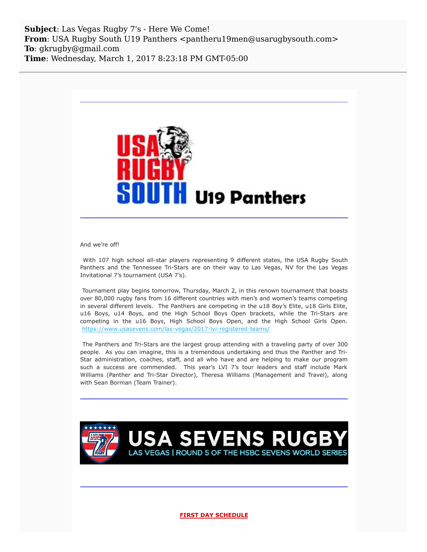**Subject**: Las Vegas Rugby 7's - Here We Come! **From**: USA Rugby South U19 Panthers <pantheru19men@usarugbysouth.com> **To**: gkrugby@gmail.com **Time**: Wednesday, March 1, 2017 8:23:18 PM GMT-05:00



And we're off!

With 107 high school all-star players representing 9 different states, the USA Rugby South Panthers and the Tennessee Tri-Stars are on their way to Las Vegas, NV for the Las Vegas Invitational 7's tournament (USA 7's).

Tournament play begins tomorrow, Thursday, March 2, in this renown tournament that boasts over 80,000 rugby fans from 16 different countries with men's and women's teams competing in several different levels. The Panthers are competing in the u18 Boy's Elite, u18 Girls Elite, u16 Boys, u14 Boys, and the High School Boys Open brackets, while the Tri-Stars are competing in the u16 Boys, High School Boys Open, and the High School Girls Open. [https://www.usasevens.com/las-vegas/2017-lvi-registered-teams/](http://usarugbysouthpanthers.us14.list-manage1.com/track/click?u=eb4b15ceee985d50206754bca&id=8b536e3a1b&e=6a1545ea88)

The Panthers and Tri-Stars are the largest group attending with a traveling party of over 300 people. As you can imagine, this is a tremendous undertaking and thus the Panther and Tri-Star administration, coaches, staff, and all who have and are helping to make our program such a success are commended. This year's LVI 7's tour leaders and staff include Mark Williams (Panther and Tri-Star Director), Theresa Williams (Management and Travel), along with Sean Borman (Team Trainer).



**FIRST DAY SCHEDULE**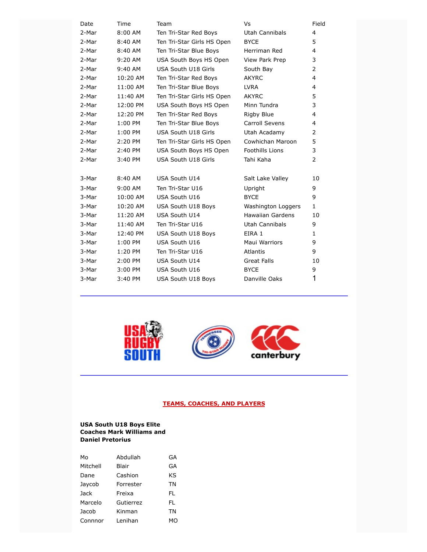| Date  | Time      | Team                       | Vs                      | Field          |
|-------|-----------|----------------------------|-------------------------|----------------|
| 2-Mar | 8:00 AM   | Ten Tri-Star Red Boys      | Utah Cannibals          | 4              |
| 2-Mar | 8:40 AM   | Ten Tri-Star Girls HS Open | <b>BYCE</b>             | 5              |
| 2-Mar | 8:40 AM   | Ten Tri-Star Blue Boys     | Herriman Red            | 4              |
| 2-Mar | 9:20 AM   | USA South Boys HS Open     | View Park Prep          | 3              |
| 2-Mar | 9:40 AM   | USA South U18 Girls        | South Bay               | $\overline{2}$ |
| 2-Mar | 10:20 AM  | Ten Tri-Star Red Boys      | <b>AKYRC</b>            | 4              |
| 2-Mar | 11:00 AM  | Ten Tri-Star Blue Boys     | <b>LVRA</b>             | 4              |
| 2-Mar | 11:40 AM  | Ten Tri-Star Girls HS Open | <b>AKYRC</b>            | 5              |
| 2-Mar | 12:00 PM  | USA South Boys HS Open     | Minn Tundra             | 3              |
| 2-Mar | 12:20 PM  | Ten Tri-Star Red Boys      | Rigby Blue              | 4              |
| 2-Mar | $1:00$ PM | Ten Tri-Star Blue Boys     | Carroll Sevens          | 4              |
| 2-Mar | $1:00$ PM | USA South U18 Girls        | Utah Acadamy            | $\overline{2}$ |
| 2-Mar | 2:20 PM   | Ten Tri-Star Girls HS Open | Cowhichan Maroon        | 5              |
| 2-Mar | 2:40 PM   | USA South Boys HS Open     | <b>Foothills Lions</b>  | 3              |
| 2-Mar | 3:40 PM   | <b>USA South U18 Girls</b> | Tahi Kaha               | $\overline{2}$ |
|       |           |                            |                         |                |
| 3-Mar | 8:40 AM   | USA South U14              | Salt Lake Valley        | 10             |
| 3-Mar | $9:00$ AM | Ten Tri-Star U16           | Upright                 | 9              |
| 3-Mar | 10:00 AM  | USA South U16              | <b>BYCE</b>             | 9              |
| 3-Mar | 10:20 AM  | USA South U18 Boys         | Washington Loggers      | $\mathbf{1}$   |
| 3-Mar | 11:20 AM  | USA South U14              | <b>Hawaiian Gardens</b> | 10             |
| 3-Mar | 11:40 AM  | Ten Tri-Star U16           | Utah Cannibals          | 9              |
| 3-Mar | 12:40 PM  | USA South U18 Boys         | EIRA 1                  | $\mathbf{1}$   |
| 3-Mar | 1:00 PM   | USA South U16              | Maui Warriors           | 9              |
| 3-Mar | 1:20 PM   | Ten Tri-Star U16           | Atlantis                | 9              |
| 3-Mar | 2:00 PM   | USA South U14              | Great Falls             | 10             |
| 3-Mar | 3:00 PM   | USA South U16              | <b>BYCE</b>             | 9              |
| 3-Mar | 3:40 PM   | <b>USA South U18 Boys</b>  | Danville Oaks           | 1              |
|       |           |                            |                         |                |







# **TEAMS, COACHES, AND PLAYERS**

#### **USA South U18 Boys Elite Coaches Mark Williams and Daniel Pretorius**

| M٥       | Abdullah  | GA |
|----------|-----------|----|
| Mitchell | Blair     | GA |
| Dane     | Cashion   | KS |
| Jaycob   | Forrester | ΤN |
| Jack     | Freixa    | FL |
| Marcelo  | Gutierrez | FL |
| Jacob    | Kinman    | ΤN |
| Connnor  | Lenihan   | MΟ |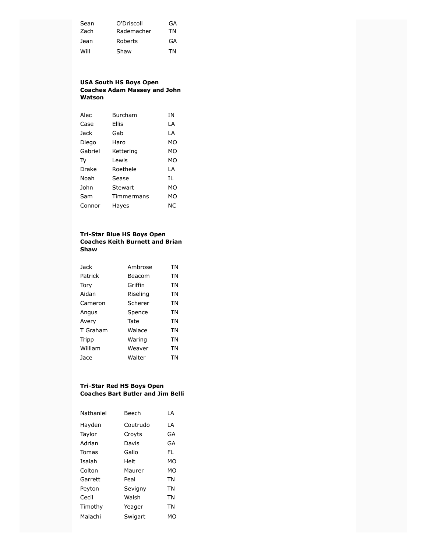| Sean | O'Driscoll | GA |
|------|------------|----|
| Zach | Rademacher | TN |
| Jean | Roberts    | GA |
| Will | Shaw       | ΤN |

# **USA South HS Boys Open Coaches Adam Massey and John Watson**

| Alec         | Burcham    | ΙN |
|--------------|------------|----|
| Case         | Ellis      | LA |
| Jack         | Gab        | LA |
| Diego        | Haro       | МO |
| Gabriel      | Kettering  | МO |
| Тy           | I ewis     | MO |
| <b>Drake</b> | Roethele   | LA |
| Noah         | Sease      | IL |
| John         | Stewart    | MO |
| Sam          | Timmermans | МO |
| Connor       | Hayes      | ΝC |

# **Tri-Star Blue HS Boys Open Coaches Keith Burnett and Brian Shaw**

| Jack     | Ambrose  | TN        |
|----------|----------|-----------|
| Patrick  | Beacom   | <b>TN</b> |
| Tory     | Griffin  | <b>TN</b> |
| Aidan    | Riseling | TN        |
| Cameron  | Scherer  | <b>TN</b> |
| Angus    | Spence   | TN        |
| Avery    | Tate     | <b>TN</b> |
| T Graham | Walace   | <b>TN</b> |
| Tripp    | Waring   | <b>TN</b> |
| William  | Weaver   | <b>TN</b> |
| Jace     | Walter   | ΤN        |

#### **Tri-Star Red HS Boys Open Coaches Bart Butler and Jim Belli**

| Nathaniel | Beech    | ΙA |
|-----------|----------|----|
| Hayden    | Coutrudo | LA |
| Taylor    | Croyts   | GA |
| Adrian    | Davis    | GA |
| Tomas     | Gallo    | FL |
| Isaiah    | Helt     | MΩ |
| Colton    | Maurer   | МO |
| Garrett   | Peal     | TN |
| Peyton    | Sevigny  | TN |
| Cecil     | Walsh    | TN |
| Timothy   | Yeager   | TN |
| Malachi   | Swigart  | МO |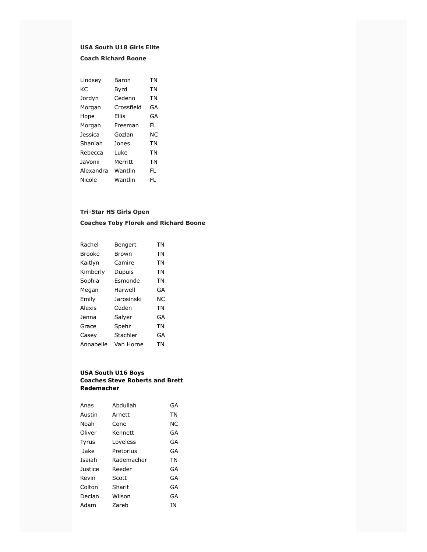# **USA South U18 Girls Elite**

# **Coach Richard Boone**

| Lindsey        | Baron      | TN  |
|----------------|------------|-----|
| KC.            | Byrd       | TN  |
| Jordyn         | Cedeno     | TN  |
| Morgan         | Crossfield | GA  |
| Hope           | Filis      | GA  |
| Morgan         | Freeman    | FL  |
| <b>Jessica</b> | Gozlan     | NC. |
| Shaniah        | Jones      | ΤN  |
| Rebecca        | Luke       | TN  |
| <b>JaVonii</b> | Merritt    | TN  |
| Alexandra      | Wantlin    | FI. |
| Nicole         | Wantlin    | FI. |

### **Tri-Star HS Girls Open**

# **Coaches Toby Florek and Richard Boone**

| Rachel        | Bengert           | ΤN |
|---------------|-------------------|----|
| <b>Brooke</b> | Brown             | ΤN |
| Kaitlyn       | Camire            | ΤN |
| Kimberly      | Dupuis            | TN |
| Sophia        | Esmonde           | TN |
| Megan         | Harwell           | GA |
| Emily         | <b>Jarosinski</b> | ΝC |
| Alexis        | Ozden             | TN |
| Jenna         | Salyer            | GA |
| Grace         | Spehr             | TN |
| Casey         | Stachler          | GA |
| Annabelle     | Van Horne         | TN |
|               |                   |    |

#### **USA South U16 Boys Coaches Steve Roberts and Brett Rademacher**

| Anas           | Abdullah   | GA |
|----------------|------------|----|
| Austin         | Arnett     | ΤN |
| Noah           | Cone       | ΝC |
| Oliver         | Kennett    | GA |
| Tyrus          | I oveless  | GA |
| Jake           | Pretorius  | GA |
| Isaiah         | Rademacher | ΤN |
| <b>Justice</b> | Reeder     | GA |
| Kevin          | Scott      | GA |
| Colton         | Sharit     | GA |
| Declan         | Wilson     | GA |
| Adam           | 7areb      | īΝ |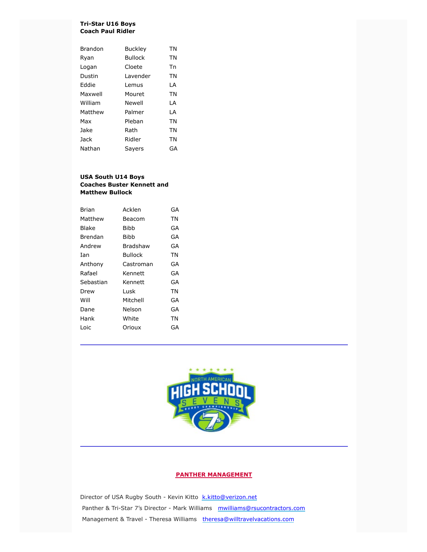#### **Tri-Star U16 Boys Coach Paul Ridler**

| Brandon | <b>Buckley</b> | ΤN |
|---------|----------------|----|
| Ryan    | <b>Bullock</b> | TN |
| Logan   | Cloete         | Тn |
| Dustin  | Lavender       | ΤN |
| Eddie   | Lemus          | LA |
| Maxwell | Mouret         | ΤN |
| William | Newell         | LA |
| Matthew | Palmer         | LA |
| Max     | Pleban         | TN |
| Jake    | Rath           | TN |
| Jack    | Ridler         | TN |
| Nathan  | Sayers         | GA |

#### **USA South U14 Boys Coaches Buster Kennett and Matthew Bullock**

| <b>Brian</b> | Acklen      | GA |
|--------------|-------------|----|
| Matthew      | Beacom      | ΤN |
| <b>Blake</b> | Bibb        | GA |
| Brendan      | <b>Bibb</b> | GA |
| Andrew       | Bradshaw    | GA |
| Ian          | Bullock     | ΤN |
| Anthony      | Castroman   | GA |
| Rafael       | Kennett     | GA |
| Sebastian    | Kennett     | GA |
| Drew         | Lusk        | ΤN |
| Will         | Mitchell    | GA |
| Dane         | Nelson      | GA |
| Hank         | White       | ΤN |
| Loic         | Orioux      | GA |



#### **PANTHER MANAGEMENT**

Director of USA Rugby South - Kevin Kitto [k.kitto@verizon.net](mailto:k.kitto@verizon.net) Panther & Tri-Star 7's Director - Mark Williams [mwilliams@rsucontractors.com](mailto:mwilliams@rsucontractors.com) Management & Travel - Theresa Williams [theresa@willtravelvacations.com](mailto:theresa@willtravelvacations.com)